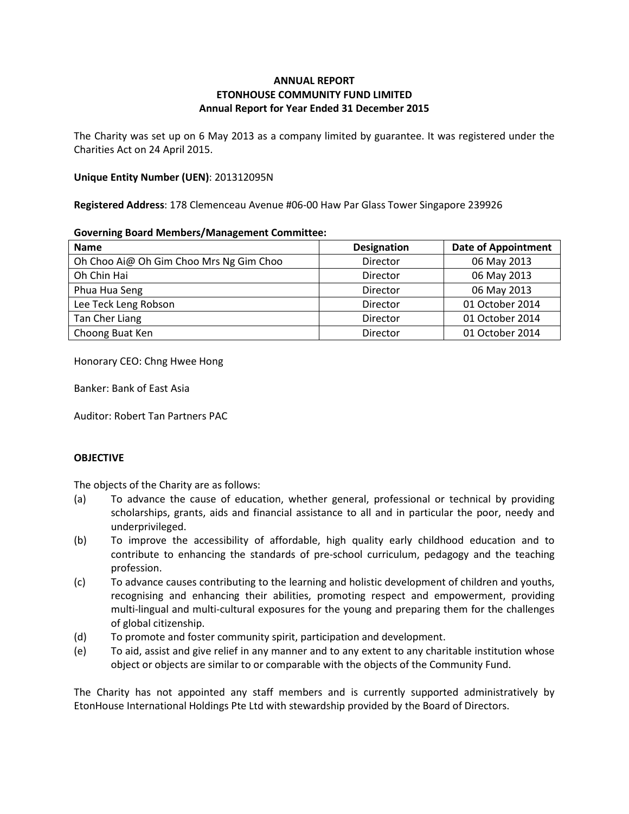# **ANNUAL REPORT ETONHOUSE COMMUNITY FUND LIMITED Annual Report for Year Ended 31 December 2015**

The Charity was set up on 6 May 2013 as a company limited by guarantee. It was registered under the Charities Act on 24 April 2015.

### **Unique Entity Number (UEN)**: 201312095N

**Registered Address**: 178 Clemenceau Avenue #06-00 Haw Par Glass Tower Singapore 239926

#### **Governing Board Members/Management Committee:**

| <b>Name</b>                             | <b>Designation</b> | <b>Date of Appointment</b> |
|-----------------------------------------|--------------------|----------------------------|
| Oh Choo Ai@ Oh Gim Choo Mrs Ng Gim Choo | Director           | 06 May 2013                |
| Oh Chin Hai                             | Director           | 06 May 2013                |
| Phua Hua Seng                           | Director           | 06 May 2013                |
| Lee Teck Leng Robson                    | Director           | 01 October 2014            |
| Tan Cher Liang                          | Director           | 01 October 2014            |
| Choong Buat Ken                         | Director           | 01 October 2014            |

Honorary CEO: Chng Hwee Hong

Banker: Bank of East Asia

Auditor: Robert Tan Partners PAC

# **OBJECTIVE**

The objects of the Charity are as follows:

- (a) To advance the cause of education, whether general, professional or technical by providing scholarships, grants, aids and financial assistance to all and in particular the poor, needy and underprivileged.
- (b) To improve the accessibility of affordable, high quality early childhood education and to contribute to enhancing the standards of pre-school curriculum, pedagogy and the teaching profession.
- (c) To advance causes contributing to the learning and holistic development of children and youths, recognising and enhancing their abilities, promoting respect and empowerment, providing multi-lingual and multi-cultural exposures for the young and preparing them for the challenges of global citizenship.
- (d) To promote and foster community spirit, participation and development.
- (e) To aid, assist and give relief in any manner and to any extent to any charitable institution whose object or objects are similar to or comparable with the objects of the Community Fund.

The Charity has not appointed any staff members and is currently supported administratively by EtonHouse International Holdings Pte Ltd with stewardship provided by the Board of Directors.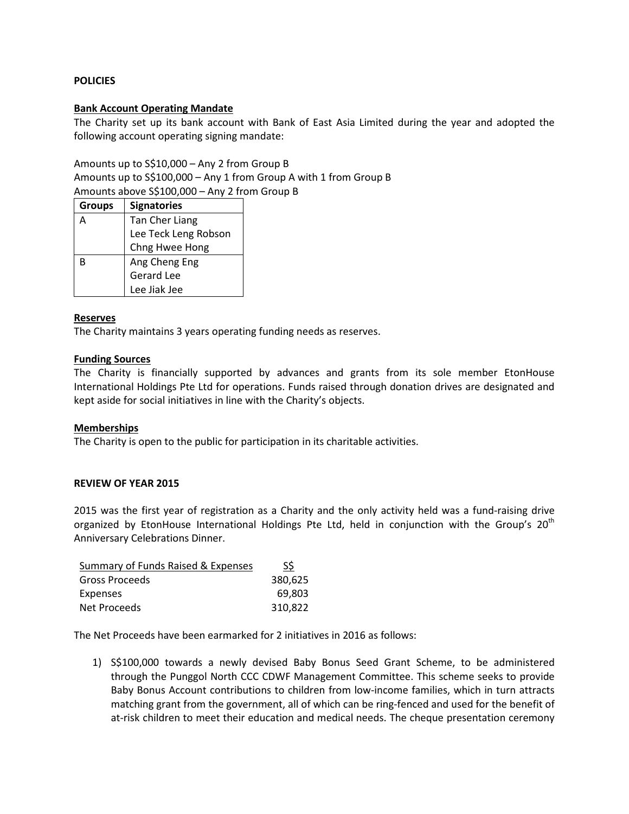# **POLICIES**

## **Bank Account Operating Mandate**

The Charity set up its bank account with Bank of East Asia Limited during the year and adopted the following account operating signing mandate:

Amounts up to S\$10,000 – Any 2 from Group B

Amounts up to S\$100,000 – Any 1 from Group A with 1 from Group B Amounts above S\$100,000 – Any 2 from Group B

| <b>Groups</b> | <b>Signatories</b>   |
|---------------|----------------------|
|               | Tan Cher Liang       |
|               | Lee Teck Leng Robson |
|               | Chng Hwee Hong       |
| R             | Ang Cheng Eng        |
|               | <b>Gerard Lee</b>    |
|               | Lee Jiak Jee         |

## **Reserves**

The Charity maintains 3 years operating funding needs as reserves.

## **Funding Sources**

The Charity is financially supported by advances and grants from its sole member EtonHouse International Holdings Pte Ltd for operations. Funds raised through donation drives are designated and kept aside for social initiatives in line with the Charity's objects.

#### **Memberships**

The Charity is open to the public for participation in its charitable activities.

#### **REVIEW OF YEAR 2015**

2015 was the first year of registration as a Charity and the only activity held was a fund-raising drive organized by EtonHouse International Holdings Pte Ltd, held in conjunction with the Group's 20<sup>th</sup> Anniversary Celebrations Dinner.

| Summary of Funds Raised & Expenses | S\$     |
|------------------------------------|---------|
| Gross Proceeds                     | 380,625 |
| Expenses                           | 69.803  |
| Net Proceeds                       | 310.822 |

The Net Proceeds have been earmarked for 2 initiatives in 2016 as follows:

1) S\$100,000 towards a newly devised Baby Bonus Seed Grant Scheme, to be administered through the Punggol North CCC CDWF Management Committee. This scheme seeks to provide Baby Bonus Account contributions to children from low-income families, which in turn attracts matching grant from the government, all of which can be ring-fenced and used for the benefit of at-risk children to meet their education and medical needs. The cheque presentation ceremony